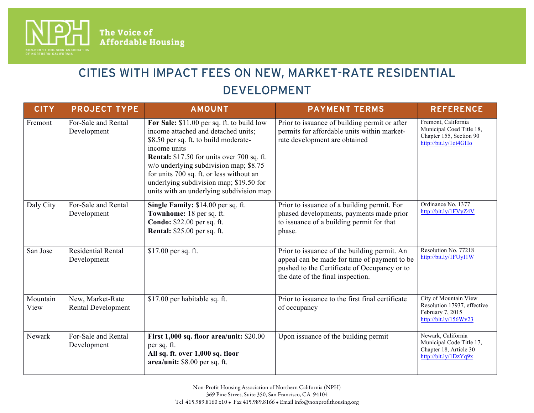

 $\overline{a}$ 

The Voice of<br>Affordable Housing

## CITIES WITH IMPACT FEES ON NEW, MARKET-RATE RESIDENTIAL DEVELOPMENT

| <b>CITY</b>      | <b>PROJECT TYPE</b>                           | <b>AMOUNT</b>                                                                                                                                                                                                                                                                                                                                                                | <b>PAYMENT TERMS</b>                                                                                                                                                              | <b>REFERENCE</b>                                                                                    |
|------------------|-----------------------------------------------|------------------------------------------------------------------------------------------------------------------------------------------------------------------------------------------------------------------------------------------------------------------------------------------------------------------------------------------------------------------------------|-----------------------------------------------------------------------------------------------------------------------------------------------------------------------------------|-----------------------------------------------------------------------------------------------------|
| Fremont          | For-Sale and Rental<br>Development            | For Sale: \$11.00 per sq. ft. to build low<br>income attached and detached units;<br>\$8.50 per sq. ft. to build moderate-<br>income units<br><b>Rental:</b> \$17.50 for units over 700 sq. ft.<br>w/o underlying subdivision map; \$8.75<br>for units 700 sq. ft. or less without an<br>underlying subdivision map; \$19.50 for<br>units with an underlying subdivision map | Prior to issuance of building permit or after<br>permits for affordable units within market-<br>rate development are obtained                                                     | Fremont, California<br>Municipal Coed Title 18,<br>Chapter 155, Section 90<br>http://bit.ly/1ot4GHo |
| Daly City        | For-Sale and Rental<br>Development            | Single Family: \$14.00 per sq. ft.<br>Townhome: 18 per sq. ft.<br>Condo: \$22.00 per sq. ft.<br><b>Rental:</b> \$25.00 per sq. ft.                                                                                                                                                                                                                                           | Prior to issuance of a building permit. For<br>phased developments, payments made prior<br>to issuance of a building permit for that<br>phase.                                    | Ordinance No. 1377<br>http://bit.ly/1FVyZ4V                                                         |
| San Jose         | <b>Residential Rental</b><br>Development      | \$17.00 per sq. ft.                                                                                                                                                                                                                                                                                                                                                          | Prior to issuance of the building permit. An<br>appeal can be made for time of payment to be<br>pushed to the Certificate of Occupancy or to<br>the date of the final inspection. | Resolution No. 77218<br>http://bit.ly/1FUyI1W                                                       |
| Mountain<br>View | New, Market-Rate<br><b>Rental Development</b> | \$17.00 per habitable sq. ft.                                                                                                                                                                                                                                                                                                                                                | Prior to issuance to the first final certificate<br>of occupancy                                                                                                                  | City of Mountain View<br>Resolution 17937, effective<br>February 7, 2015<br>http://bit.ly/156Wv23   |
| Newark           | For-Sale and Rental<br>Development            | First 1,000 sq. floor area/unit: \$20.00<br>per sq. ft.<br>All sq. ft. over 1,000 sq. floor<br>area/unit: \$8.00 per sq. ft.                                                                                                                                                                                                                                                 | Upon issuance of the building permit                                                                                                                                              | Newark, California<br>Municipal Code Title 17,<br>Chapter 18, Article 30<br>http://bit.ly/1DzYq9x   |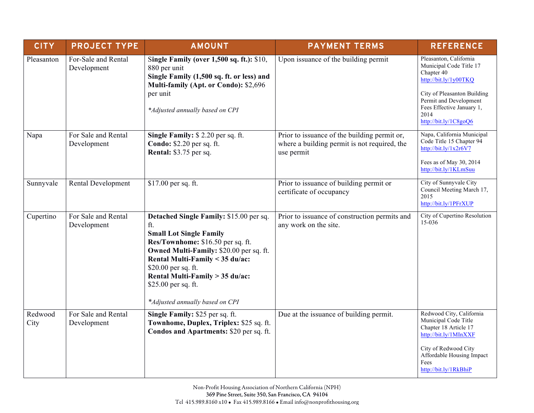| <b>CITY</b>     | <b>PROJECT TYPE</b>                | <b>AMOUNT</b>                                                                                                                                                                                                                                                                                                           | <b>PAYMENT TERMS</b>                                                                                       | <b>REFERENCE</b>                                                                                                                                                                                                |
|-----------------|------------------------------------|-------------------------------------------------------------------------------------------------------------------------------------------------------------------------------------------------------------------------------------------------------------------------------------------------------------------------|------------------------------------------------------------------------------------------------------------|-----------------------------------------------------------------------------------------------------------------------------------------------------------------------------------------------------------------|
| Pleasanton      | For-Sale and Rental<br>Development | Single Family (over 1,500 sq. ft.): \$10,<br>880 per unit<br>Single Family (1,500 sq. ft. or less) and<br>Multi-family (Apt. or Condo): \$2,696<br>per unit<br>*Adjusted annually based on CPI                                                                                                                          | Upon issuance of the building permit                                                                       | Pleasanton, California<br>Municipal Code Title 17<br>Chapter 40<br>http://bit.ly/1y00TKQ<br>City of Pleasanton Building<br>Permit and Development<br>Fees Effective January 1,<br>2014<br>http://bit.ly/1C8goQ6 |
| Napa            | For Sale and Rental<br>Development | Single Family: \$2.20 per sq. ft.<br>Condo: \$2.20 per sq. ft.<br>Rental: \$3.75 per sq.                                                                                                                                                                                                                                | Prior to issuance of the building permit or,<br>where a building permit is not required, the<br>use permit | Napa, California Municipal<br>Code Title 15 Chapter 94<br>http://bit.ly/1x2r6V7<br>Fees as of May 30, 2014<br>http://bit.ly/1KLmSuu                                                                             |
| Sunnyvale       | Rental Development                 | \$17.00 per sq. ft.                                                                                                                                                                                                                                                                                                     | Prior to issuance of building permit or<br>certificate of occupancy                                        | City of Sunnyvale City<br>Council Meeting March 17,<br>2015<br>http://bit.ly/1PFrXUP                                                                                                                            |
| Cupertino       | For Sale and Rental<br>Development | Detached Single Family: \$15.00 per sq.<br>ft.<br><b>Small Lot Single Family</b><br>Res/Townhome: \$16.50 per sq. ft.<br>Owned Multi-Family: \$20.00 per sq. ft.<br>Rental Multi-Family < 35 du/ac:<br>\$20.00 per sq. ft.<br>Rental Multi-Family > 35 du/ac:<br>\$25.00 per sq. ft.<br>*Adjusted annually based on CPI | Prior to issuance of construction permits and<br>any work on the site.                                     | City of Cupertino Resolution<br>$15 - 036$                                                                                                                                                                      |
| Redwood<br>City | For Sale and Rental<br>Development | Single Family: \$25 per sq. ft.<br>Townhome, Duplex, Triplex: \$25 sq. ft.<br>Condos and Apartments: \$20 per sq. ft.                                                                                                                                                                                                   | Due at the issuance of building permit.                                                                    | Redwood City, California<br>Municipal Code Title<br>Chapter 18 Article 17<br>http://bit.ly/1MInXXF<br>City of Redwood City<br>Affordable Housing Impact<br>Fees<br>http://bit.ly/1RkBhiP                        |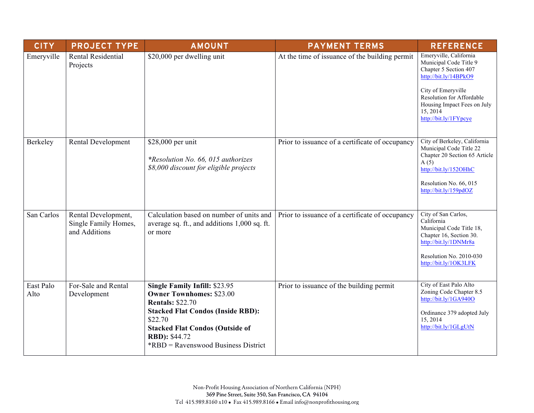| <b>CITY</b>       | <b>PROJECT TYPE</b>                                          | <b>AMOUNT</b>                                                                                                          | <b>PAYMENT TERMS</b>                            | <b>REFERENCE</b>                                                                                                          |
|-------------------|--------------------------------------------------------------|------------------------------------------------------------------------------------------------------------------------|-------------------------------------------------|---------------------------------------------------------------------------------------------------------------------------|
| Emeryville        | Rental Residential<br>Projects                               | \$20,000 per dwelling unit                                                                                             | At the time of issuance of the building permit  | Emeryville, California<br>Municipal Code Title 9<br>Chapter 5 Section 407<br>http://bit.ly/14BPkO9                        |
|                   |                                                              |                                                                                                                        |                                                 | City of Emeryville<br>Resolution for Affordable<br>Housing Impact Fees on July<br>15, 2014<br>http://bit.ly/1FYpcye       |
| Berkeley          | Rental Development                                           | \$28,000 per unit<br>*Resolution No. 66, 015 authorizes<br>\$8,000 discount for eligible projects                      | Prior to issuance of a certificate of occupancy | City of Berkeley, California<br>Municipal Code Title 22<br>Chapter 20 Section 65 Article<br>A(5)<br>http://bit.ly/152OHhC |
|                   |                                                              |                                                                                                                        |                                                 | Resolution No. 66, 015<br>http://bit.ly/159pdOZ                                                                           |
| San Carlos        | Rental Development,<br>Single Family Homes,<br>and Additions | Calculation based on number of units and<br>average sq. ft., and additions 1,000 sq. ft.<br>or more                    | Prior to issuance of a certificate of occupancy | City of San Carlos,<br>California<br>Municipal Code Title 18,<br>Chapter 16, Section 30.<br>http://bit.ly/1DNMr8a         |
|                   |                                                              |                                                                                                                        |                                                 | Resolution No. 2010-030<br>http://bit.ly/1OK3LFK                                                                          |
| East Palo<br>Alto | For-Sale and Rental<br>Development                           | Single Family Infill: \$23.95<br><b>Owner Townhomes: \$23.00</b><br><b>Rentals: \$22.70</b>                            | Prior to issuance of the building permit        | City of East Palo Alto<br>Zoning Code Chapter 8.5<br>http://bit.ly/1GA940O                                                |
|                   |                                                              | <b>Stacked Flat Condos (Inside RBD):</b><br>\$22.70<br><b>Stacked Flat Condos (Outside of</b><br><b>RBD</b> ): \$44.72 |                                                 | Ordinance 379 adopted July<br>15, 2014<br>http://bit.ly/1GLgUtN                                                           |
|                   |                                                              | <i>*RBD</i> = Ravenswood Business District                                                                             |                                                 |                                                                                                                           |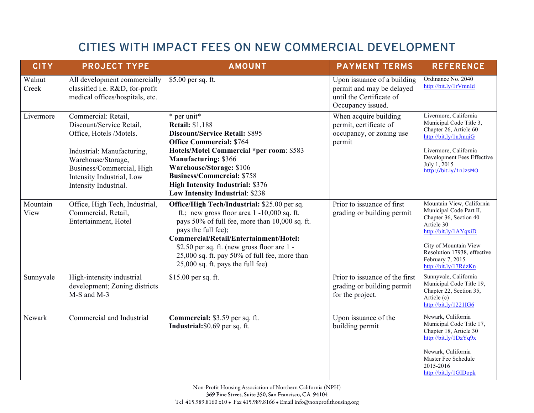## CITIES WITH IMPACT FEES ON NEW COMMERCIAL DEVELOPMENT

| <b>CITY</b>      | <b>PROJECT TYPE</b>                                                                                                                                                                                               | <b>AMOUNT</b>                                                                                                                                                                                                                                                                                                                                            | <b>PAYMENT TERMS</b>                                                                                      | <b>REFERENCE</b>                                                                                                                                                                                                           |
|------------------|-------------------------------------------------------------------------------------------------------------------------------------------------------------------------------------------------------------------|----------------------------------------------------------------------------------------------------------------------------------------------------------------------------------------------------------------------------------------------------------------------------------------------------------------------------------------------------------|-----------------------------------------------------------------------------------------------------------|----------------------------------------------------------------------------------------------------------------------------------------------------------------------------------------------------------------------------|
| Walnut<br>Creek  | All development commercially<br>classified i.e. R&D, for-profit<br>medical offices/hospitals, etc.                                                                                                                | \$5.00 per sq. ft.                                                                                                                                                                                                                                                                                                                                       | Upon issuance of a building<br>permit and may be delayed<br>until the Certificate of<br>Occupancy issued. | Ordinance No. 2040<br>http://bit.ly/1rVmnId                                                                                                                                                                                |
| Livermore        | Commercial: Retail,<br>Discount/Service Retail,<br>Office, Hotels /Motels.<br>Industrial: Manufacturing,<br>Warehouse/Storage,<br>Business/Commercial, High<br>Intensity Industrial, Low<br>Intensity Industrial. | * per unit*<br><b>Retail: \$1,188</b><br><b>Discount/Service Retail: \$895</b><br><b>Office Commercial: \$764</b><br>Hotels/Motel Commercial *per room: \$583<br><b>Manufacturing: \$366</b><br>Warehouse/Storage: \$106<br><b>Business/Commercial: \$758</b><br><b>High Intensity Industrial: \$376</b><br>Low Intensity Industrial: \$238              | When acquire building<br>permit, certificate of<br>occupancy, or zoning use<br>permit                     | Livermore, California<br>Municipal Code Title 3,<br>Chapter 26, Article 60<br>http://bit.ly/1nJmqiG<br>Livermore, California<br>Development Fees Effective<br>July 1, 2015<br>http://bit.ly/1nJzsMO                        |
| Mountain<br>View | Office, High Tech, Industrial,<br>Commercial, Retail,<br>Entertainment, Hotel                                                                                                                                     | Office/High Tech/Industrial: \$25.00 per sq.<br>ft.; new gross floor area $1 - 10,000$ sq. ft.<br>pays 50% of full fee, more than 10,000 sq. ft.<br>pays the full fee);<br>Commercial/Retail/Entertainment/Hotel:<br>\$2.50 per sq. ft. (new gross floor are 1 -<br>25,000 sq. ft. pay 50% of full fee, more than<br>$25,000$ sq. ft. pays the full fee) | Prior to issuance of first<br>grading or building permit                                                  | Mountain View, California<br>Municipal Code Part II,<br>Chapter 36, Section 40<br>Article 30<br>http://bit.ly/1AYqxiD<br>City of Mountain View<br>Resolution 17938, effective<br>February 7, 2015<br>http://bit.ly/17RdzKn |
| Sunnyvale        | High-intensity industrial<br>development; Zoning districts<br>M-S and M-3                                                                                                                                         | \$15.00 per sq. ft.                                                                                                                                                                                                                                                                                                                                      | Prior to issuance of the first<br>grading or building permit<br>for the project.                          | Sunnyvale, California<br>Municipal Code Title 19,<br>Chapter 22, Section 35,<br>Article (c)<br>http://bit.ly/1221IG6                                                                                                       |
| Newark           | Commercial and Industrial                                                                                                                                                                                         | Commercial: \$3.59 per sq. ft.<br>Industrial: \$0.69 per sq. ft.                                                                                                                                                                                                                                                                                         | Upon issuance of the<br>building permit                                                                   | Newark, California<br>Municipal Code Title 17,<br>Chapter 18, Article 30<br>http://bit.ly/1DzYq9x<br>Newark, California<br>Master Fee Schedule<br>2015-2016<br>http://bit.ly/1GIDopk                                       |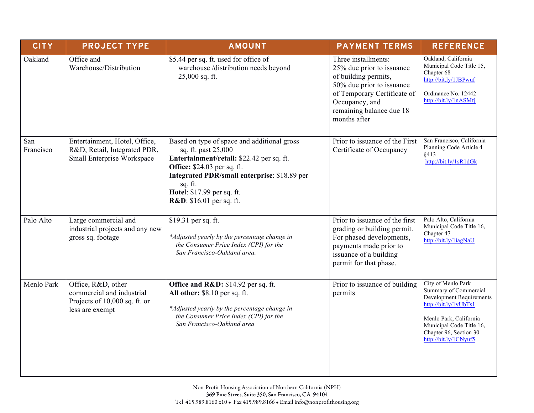| <b>CITY</b>      | <b>PROJECT TYPE</b>                                                                                 | <b>AMOUNT</b>                                                                                                                                                                                                                                                                          | <b>PAYMENT TERMS</b>                                                                                                                                                                               | <b>REFERENCE</b>                                                                                                                                                                                          |
|------------------|-----------------------------------------------------------------------------------------------------|----------------------------------------------------------------------------------------------------------------------------------------------------------------------------------------------------------------------------------------------------------------------------------------|----------------------------------------------------------------------------------------------------------------------------------------------------------------------------------------------------|-----------------------------------------------------------------------------------------------------------------------------------------------------------------------------------------------------------|
| Oakland          | Office and<br>Warehouse/Distribution                                                                | \$5.44 per sq. ft. used for office of<br>warehouse /distribution needs beyond<br>25,000 sq. ft.                                                                                                                                                                                        | Three installments:<br>25% due prior to issuance<br>of building permits,<br>50% due prior to issuance<br>of Temporary Certificate of<br>Occupancy, and<br>remaining balance due 18<br>months after | Oakland, California<br>Municipal Code Title 15,<br>Chapter 68<br>http://bit.ly/1JBPwuf<br>Ordinance No. 12442<br>http://bit.ly/1nASMfj                                                                    |
| San<br>Francisco | Entertainment, Hotel, Office,<br>R&D, Retail, Integrated PDR,<br>Small Enterprise Workspace         | Based on type of space and additional gross<br>sq. ft. past 25,000<br>Entertainment/retail: \$22.42 per sq. ft.<br><b>Office:</b> \$24.03 per sq. ft.<br>Integrated PDR/small enterprise: \$18.89 per<br>sq. ft.<br>Hotel: \$17.99 per sq. ft.<br><b>R&amp;D</b> : \$16.01 per sq. ft. | Prior to issuance of the First<br>Certificate of Occupancy                                                                                                                                         | San Francisco, California<br>Planning Code Article 4<br>§413<br>http://bit.ly/1sR1dGk                                                                                                                     |
| Palo Alto        | Large commercial and<br>industrial projects and any new<br>gross sq. footage                        | \$19.31 per sq. ft.<br>*Adjusted yearly by the percentage change in<br>the Consumer Price Index (CPI) for the<br>San Francisco-Oakland area.                                                                                                                                           | Prior to issuance of the first<br>grading or building permit.<br>For phased developments,<br>payments made prior to<br>issuance of a building<br>permit for that phase.                            | Palo Alto, California<br>Municipal Code Title 16,<br>Chapter 47<br>http://bit.ly/1iagNaU                                                                                                                  |
| Menlo Park       | Office, R&D, other<br>commercial and industrial<br>Projects of 10,000 sq. ft. or<br>less are exempt | Office and R&D: \$14.92 per sq. ft.<br>All other: \$8.10 per sq. ft.<br>*Adjusted yearly by the percentage change in<br>the Consumer Price Index (CPI) for the<br>San Francisco-Oakland area.                                                                                          | Prior to issuance of building<br>permits                                                                                                                                                           | City of Menlo Park<br>Summary of Commercial<br>Development Requirements<br>http://bit.ly/1yUbTs1<br>Menlo Park, California<br>Municipal Code Title 16,<br>Chapter 96, Section 30<br>http://bit.ly/1CNyuf5 |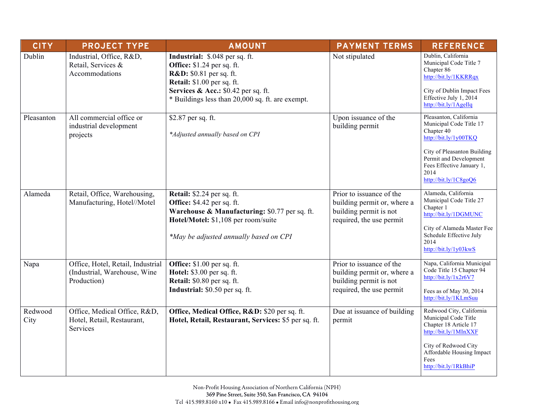| <b>CITY</b>     | <b>PROJECT TYPE</b>                                                              | <b>AMOUNT</b>                                                                                                                                                                                                                      | <b>PAYMENT TERMS</b>                                                                                          | <b>REFERENCE</b>                                                                                                                                                                                                |
|-----------------|----------------------------------------------------------------------------------|------------------------------------------------------------------------------------------------------------------------------------------------------------------------------------------------------------------------------------|---------------------------------------------------------------------------------------------------------------|-----------------------------------------------------------------------------------------------------------------------------------------------------------------------------------------------------------------|
| Dublin          | Industrial, Office, R&D,<br>Retail, Services &<br>Accommodations                 | Industrial: \$.048 per sq. ft.<br>Office: \$1.24 per sq. ft.<br><b>R&amp;D:</b> \$0.81 per sq. ft.<br><b>Retail:</b> \$1.00 per sq. ft.<br>Services & Acc.: \$0.42 per sq. ft.<br>* Buildings less than 20,000 sq. ft. are exempt. | Not stipulated                                                                                                | Dublin, California<br>Municipal Code Title 7<br>Chapter 86<br>http://bit.ly/1KKRRqx<br>City of Dublin Impact Fees<br>Effective July 1, $2014$<br>http://bit.ly/1AgeIlq                                          |
| Pleasanton      | All commercial office or<br>industrial development<br>projects                   | \$2.87 per sq. ft.<br>*Adjusted annually based on CPI                                                                                                                                                                              | Upon issuance of the<br>building permit                                                                       | Pleasanton, California<br>Municipal Code Title 17<br>Chapter 40<br>http://bit.ly/1y00TKQ<br>City of Pleasanton Building<br>Permit and Development<br>Fees Effective January 1,<br>2014<br>http://bit.ly/1C8goQ6 |
| Alameda         | Retail, Office, Warehousing,<br>Manufacturing, Hotel//Motel                      | <b>Retail:</b> \$2.24 per sq. ft.<br>Office: \$4.42 per sq. ft.<br>Warehouse & Manufacturing: \$0.77 per sq. ft.<br>Hotel/Motel: \$1,108 per room/suite<br>*May be adjusted annually based on CPI                                  | Prior to issuance of the<br>building permit or, where a<br>building permit is not<br>required, the use permit | Alameda, California<br>Municipal Code Title 27<br>Chapter 1<br>http://bit.ly/1DGMUNC<br>City of Alameda Master Fee<br>Schedule Effective July<br>2014<br>http://bit.ly/1y03kwS                                  |
| Napa            | Office, Hotel, Retail, Industrial<br>(Industrial, Warehouse, Wine<br>Production) | Office: $$1.00$ per sq. ft.<br>Hotel: \$3.00 per sq. ft.<br>Retail: \$0.80 per sq. ft.<br>Industrial: \$0.50 per sq. ft.                                                                                                           | Prior to issuance of the<br>building permit or, where a<br>building permit is not<br>required, the use permit | Napa, California Municipal<br>Code Title 15 Chapter 94<br>http://bit.ly/1x2r6V7<br>Fees as of May 30, 2014<br>http://bit.ly/1KLmSuu                                                                             |
| Redwood<br>City | Office, Medical Office, R&D,<br>Hotel, Retail, Restaurant,<br>Services           | Office, Medical Office, R&D: \$20 per sq. ft.<br>Hotel, Retail, Restaurant, Services: \$5 per sq. ft.                                                                                                                              | Due at issuance of building<br>permit                                                                         | Redwood City, California<br>Municipal Code Title<br>Chapter 18 Article 17<br>http://bit.ly/1MInXXF<br>City of Redwood City<br>Affordable Housing Impact<br>Fees<br>http://bit.ly/1RkBhiP                        |